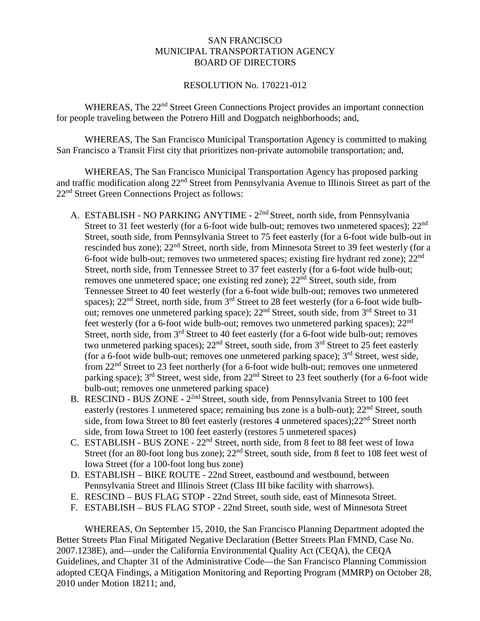## SAN FRANCISCO MUNICIPAL TRANSPORTATION AGENCY BOARD OF DIRECTORS

## RESOLUTION No. 170221-012

WHEREAS, The 22<sup>nd</sup> Street Green Connections Project provides an important connection for people traveling between the Potrero Hill and Dogpatch neighborhoods; and,

WHEREAS, The San Francisco Municipal Transportation Agency is committed to making San Francisco a Transit First city that prioritizes non-private automobile transportation; and,

WHEREAS, The San Francisco Municipal Transportation Agency has proposed parking and traffic modification along 22nd Street from Pennsylvania Avenue to Illinois Street as part of the 22nd Street Green Connections Project as follows:

- A. ESTABLISH NO PARKING ANYTIME 2<sup>2nd</sup> Street, north side, from Pennsylvania Street to 31 feet westerly (for a 6-foot wide bulb-out; removes two unmetered spaces);  $22<sup>nd</sup>$ Street, south side, from Pennsylvania Street to 75 feet easterly (for a 6-foot wide bulb-out in rescinded bus zone); 22<sup>nd</sup> Street, north side, from Minnesota Street to 39 feet westerly (for a 6-foot wide bulb-out; removes two unmetered spaces; existing fire hydrant red zone);  $22<sup>nd</sup>$ Street, north side, from Tennessee Street to 37 feet easterly (for a 6-foot wide bulb-out; removes one unmetered space; one existing red zone);  $22<sup>nd</sup>$  Street, south side, from Tennessee Street to 40 feet westerly (for a 6-foot wide bulb-out; removes two unmetered spaces);  $22<sup>nd</sup>$  Street, north side, from  $3<sup>rd</sup>$  Street to 28 feet westerly (for a 6-foot wide bulbout; removes one unmetered parking space);  $22<sup>nd</sup>$  Street, south side, from  $3<sup>rd</sup>$  Street to 31 feet westerly (for a 6-foot wide bulb-out; removes two unmetered parking spaces); 22<sup>nd</sup> Street, north side, from  $3<sup>rd</sup>$  Street to 40 feet easterly (for a 6-foot wide bulb-out; removes two unmetered parking spaces);  $22<sup>nd</sup>$  Street, south side, from  $3<sup>rd</sup>$  Street to 25 feet easterly (for a 6-foot wide bulb-out; removes one unmetered parking space); 3rd Street, west side, from 22<sup>nd</sup> Street to 23 feet northerly (for a 6-foot wide bulb-out; removes one unmetered parking space); 3<sup>rd</sup> Street, west side, from 22<sup>nd</sup> Street to 23 feet southerly (for a 6-foot wide bulb-out; removes one unmetered parking space)
- B. RESCIND BUS ZONE  $2^{2nd}$  Street, south side, from Pennsylvania Street to 100 feet easterly (restores 1 unmetered space; remaining bus zone is a bulb-out);  $22<sup>nd</sup>$  Street, south side, from Iowa Street to 80 feet easterly (restores 4 unmetered spaces); 22<sup>nd</sup> Street north side, from Iowa Street to 100 feet easterly (restores 5 unmetered spaces)
- C. ESTABLISH BUS ZONE 22<sup>nd</sup> Street, north side, from 8 feet to 88 feet west of Iowa Street (for an 80-foot long bus zone);  $22<sup>nd</sup>$  Street, south side, from 8 feet to 108 feet west of Iowa Street (for a 100-foot long bus zone)
- D. ESTABLISH BIKE ROUTE 22nd Street, eastbound and westbound, between Pennsylvania Street and Illinois Street (Class III bike facility with sharrows).
- E. RESCIND BUS FLAG STOP 22nd Street, south side, east of Minnesota Street.
- F. ESTABLISH BUS FLAG STOP 22nd Street, south side, west of Minnesota Street

WHEREAS, On September 15, 2010, the San Francisco Planning Department adopted the Better Streets Plan Final Mitigated Negative Declaration (Better Streets Plan FMND, Case No. 2007.1238E), and—under the California Environmental Quality Act (CEQA), the CEQA Guidelines, and Chapter 31 of the Administrative Code—the San Francisco Planning Commission adopted CEQA Findings, a Mitigation Monitoring and Reporting Program (MMRP) on October 28, 2010 under Motion 18211; and,